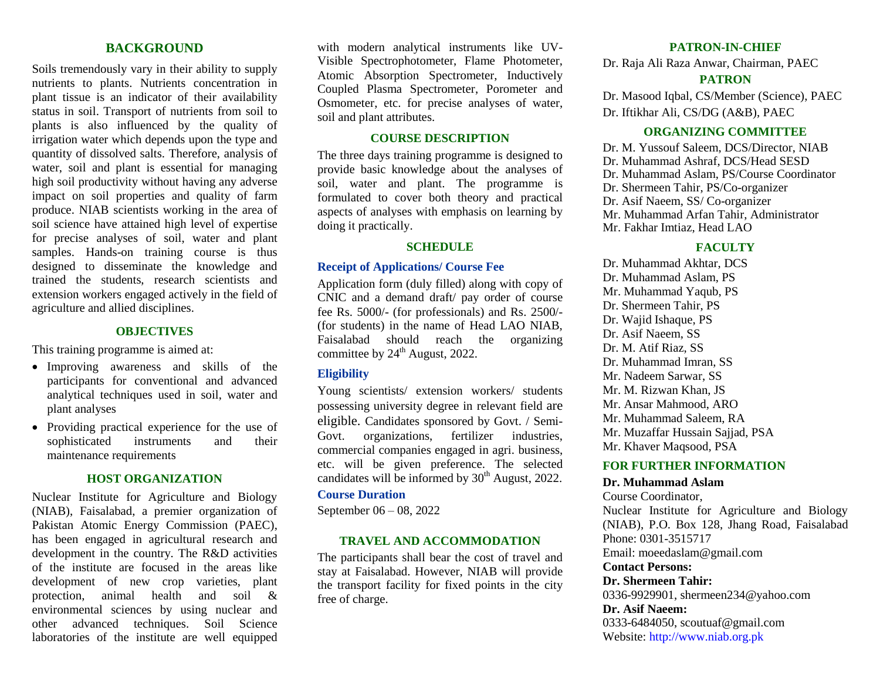### **BACKGROUND**

Soils tremendously vary in their ability to supply nutrients to plants. Nutrients concentration in plant tissue is an indicator of their availability status in soil. Transport of nutrients from soil to plants is also influenced by the quality of irrigation water which depends upon the type and quantity of dissolved salts. Therefore, analysis of water, soil and plant is essential for managing high soil productivity without having any adverse impact on soil properties and quality of farm produce. NIAB scientists working in the area of soil science have attained high level of expertise for precise analyses of soil, water and plant samples. Hands-on training course is thus designed to disseminate the knowledge and trained the students, research scientists and extension workers engaged actively in the field of agriculture and allied disciplines.

#### **OBJECTIVES**

This training programme is aimed at:

- Improving awareness and skills of the participants for conventional and advanced analytical techniques used in soil, water and plant analyses
- Providing practical experience for the use of sophisticated instruments and their sophisticated instruments and their maintenance requirements

### **HOST ORGANIZATION**

Nuclear Institute for Agriculture and Biology (NIAB), Faisalabad, a premier organization of Pakistan Atomic Energy Commission (PAEC), has been engaged in agricultural research and development in the country. The R&D activities of the institute are focused in the areas like development of new crop varieties, plant protection, animal health and soil & environmental sciences by using nuclear and other advanced techniques. Soil Science laboratories of the institute are well equipped

with modern analytical instruments like UV-Visible Spectrophotometer, Flame Photometer, Atomic Absorption Spectrometer, Inductively Coupled Plasma Spectrometer, Porometer and Osmometer, etc. for precise analyses of water, soil and plant attributes.

### **COURSE DESCRIPTION**

The three days training programme is designed to provide basic knowledge about the analyses of soil, water and plant. The programme is formulated to cover both theory and practical aspects of analyses with emphasis on learning by doing it practically.

#### **SCHEDULE**

### **Receipt of Applications/ Course Fee**

Application form (duly filled) along with copy of CNIC and a demand draft/ pay order of course fee Rs. 5000/- (for professionals) and Rs. 2500/- (for students) in the name of Head LAO NIAB, Faisalabad should reach the organizing committee by  $24<sup>th</sup>$  August, 2022.

#### **Eligibility**

Young scientists/ extension workers/ students possessing university degree in relevant field are eligible. Candidates sponsored by Govt. / Semi-Govt. organizations, fertilizer industries, commercial companies engaged in agri. business, etc. will be given preference. The selected candidates will be informed by  $30<sup>th</sup>$  August, 2022.

#### **Course Duration**

September 06 – 08, 2022

#### **TRAVEL AND ACCOMMODATION**

The participants shall bear the cost of travel and stay at Faisalabad. However, NIAB will provide the transport facility for fixed points in the city free of charge.

#### **PATRON-IN-CHIEF**

Dr. Raja Ali Raza Anwar, Chairman, PAEC

#### **PATRON**

Dr. Masood Iqbal, CS/Member (Science), PAEC Dr. Iftikhar Ali, CS/DG (A&B), PAEC

#### **ORGANIZING COMMITTEE**

Dr. M. Yussouf Saleem, DCS/Director, NIAB Dr. Muhammad Ashraf, DCS/Head SESD Dr. Muhammad Aslam, PS/Course Coordinator Dr. Shermeen Tahir, PS/Co-organizer Dr. Asif Naeem, SS/ Co-organizer Mr. Muhammad Arfan Tahir, Administrator Mr. Fakhar Imtiaz, Head LAO

#### **FACULTY**

Dr. Muhammad Akhtar, DCS Dr. Muhammad Aslam, PS Mr. Muhammad Yaqub, PS Dr. Shermeen Tahir, PS Dr. Wajid Ishaque, PS Dr. Asif Naeem, SS Dr. M. Atif Riaz, SS Dr. Muhammad Imran, SS Mr. Nadeem Sarwar, SS Mr. M. Rizwan Khan, JS Mr. Ansar Mahmood, ARO Mr. Muhammad Saleem, RA Mr. Muzaffar Hussain Sajjad, PSA Mr. Khaver Maqsood, PSA

#### **FOR FURTHER INFORMATION**

#### **Dr. Muhammad Aslam**

Course Coordinator, Nuclear Institute for Agriculture and Biology (NIAB), P.O. Box 128, Jhang Road, Faisalabad Phone: 0301-3515717 Email: moeedaslam@gmail.com

### **Contact Persons:**

**Dr. Shermeen Tahir:** 0336-9929901, shermeen234@yahoo.com

## **Dr. Asif Naeem:**

0333-6484050, scoutuaf@gmail.com Website: [http://www.niab.org.pk](http://www.niab.org.pk/)